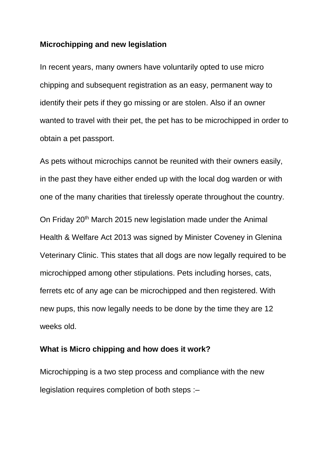## **Microchipping and new legislation**

In recent years, many owners have voluntarily opted to use micro chipping and subsequent registration as an easy, permanent way to identify their pets if they go missing or are stolen. Also if an owner wanted to travel with their pet, the pet has to be microchipped in order to obtain a pet passport.

As pets without microchips cannot be reunited with their owners easily, in the past they have either ended up with the local dog warden or with one of the many charities that tirelessly operate throughout the country. On Friday 20th March 2015 new legislation made under the Animal Health & Welfare Act 2013 was signed by Minister Coveney in Glenina Veterinary Clinic. This states that all dogs are now legally required to be microchipped among other stipulations. Pets including horses, cats, ferrets etc of any age can be microchipped and then registered. With new pups, this now legally needs to be done by the time they are 12

weeks old.

## **What is Micro chipping and how does it work?**

Microchipping is a two step process and compliance with the new legislation requires completion of both steps :–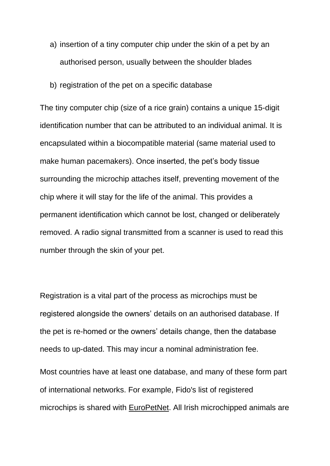- a) insertion of a tiny computer chip under the skin of a pet by an authorised person, usually between the shoulder blades
- b) registration of the pet on a specific database

The tiny computer chip (size of a rice grain) contains a unique 15-digit identification number that can be attributed to an individual animal. It is encapsulated within a biocompatible material (same material used to make human pacemakers). Once inserted, the pet's body tissue surrounding the microchip attaches itself, preventing movement of the chip where it will stay for the life of the animal. This provides a permanent identification which cannot be lost, changed or deliberately removed. A radio signal transmitted from a scanner is used to read this number through the skin of your pet.

Registration is a vital part of the process as microchips must be registered alongside the owners' details on an authorised database. If the pet is re-homed or the owners' details change, then the database needs to up-dated. This may incur a nominal administration fee.

Most countries have at least one database, and many of these form part of international networks. For example, Fido's list of registered microchips is shared with [EuroPetNet.](http://www.europetnet.com/Home.aspx) All Irish microchipped animals are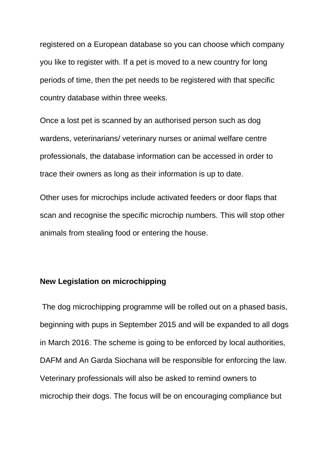registered on a European database so you can choose which company you like to register with. If a pet is moved to a new country for long periods of time, then the pet needs to be registered with that specific country database within three weeks.

Once a lost pet is scanned by an authorised person such as dog wardens, veterinarians/ veterinary nurses or animal welfare centre professionals, the database information can be accessed in order to trace their owners as long as their information is up to date.

Other uses for microchips include activated feeders or door flaps that scan and recognise the specific microchip numbers. This will stop other animals from stealing food or entering the house.

## **New Legislation on microchipping**

The dog microchipping programme will be rolled out on a phased basis, beginning with pups in September 2015 and will be expanded to all dogs in March 2016. The scheme is going to be enforced by local authorities, DAFM and An Garda Siochana will be responsible for enforcing the law. Veterinary professionals will also be asked to remind owners to microchip their dogs. The focus will be on encouraging compliance but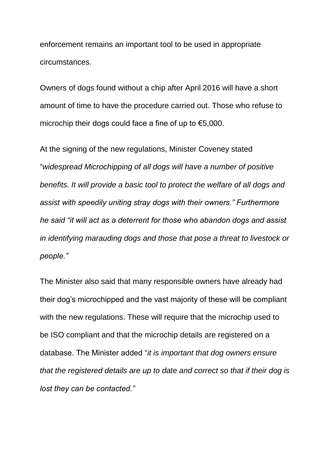enforcement remains an important tool to be used in appropriate circumstances.

Owners of dogs found without a chip after April 2016 will have a short amount of time to have the procedure carried out. Those who refuse to microchip their dogs could face a fine of up to  $\epsilon$ 5,000.

At the signing of the new regulations, Minister Coveney stated "*widespread Microchipping of all dogs will have a number of positive benefits. It will provide a basic tool to protect the welfare of all dogs and assist with speedily uniting stray dogs with their owners." Furthermore he said "it will act as a deterrent for those who abandon dogs and assist in identifying marauding dogs and those that pose a threat to livestock or people."*

The Minister also said that many responsible owners have already had their dog's microchipped and the vast majority of these will be compliant with the new regulations. These will require that the microchip used to be ISO compliant and that the microchip details are registered on a database. The Minister added "*it is important that dog owners ensure that the registered details are up to date and correct so that if their dog is lost they can be contacted."*